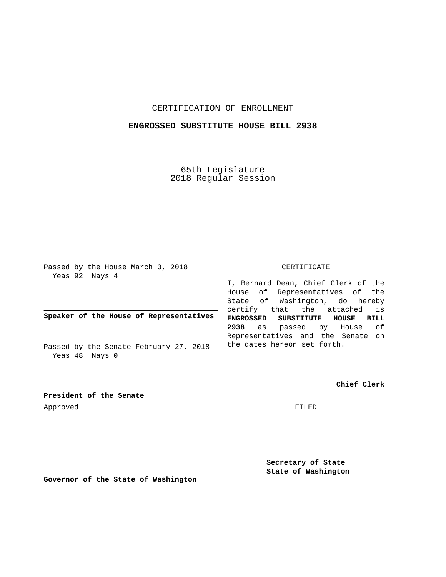### CERTIFICATION OF ENROLLMENT

#### **ENGROSSED SUBSTITUTE HOUSE BILL 2938**

65th Legislature 2018 Regular Session

Passed by the House March 3, 2018 Yeas 92 Nays 4

**Speaker of the House of Representatives**

Passed by the Senate February 27, 2018 Yeas 48 Nays 0

#### CERTIFICATE

I, Bernard Dean, Chief Clerk of the House of Representatives of the State of Washington, do hereby certify that the attached is **ENGROSSED SUBSTITUTE HOUSE BILL 2938** as passed by House of Representatives and the Senate on the dates hereon set forth.

**Chief Clerk**

**President of the Senate** Approved FILED

**Secretary of State State of Washington**

**Governor of the State of Washington**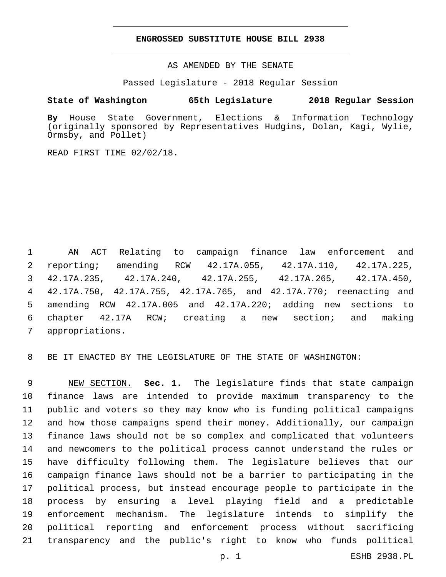#### **ENGROSSED SUBSTITUTE HOUSE BILL 2938**

AS AMENDED BY THE SENATE

Passed Legislature - 2018 Regular Session

## **State of Washington 65th Legislature 2018 Regular Session**

**By** House State Government, Elections & Information Technology (originally sponsored by Representatives Hudgins, Dolan, Kagi, Wylie, Ormsby, and Pollet)

READ FIRST TIME 02/02/18.

 AN ACT Relating to campaign finance law enforcement and reporting; amending RCW 42.17A.055, 42.17A.110, 42.17A.225, 42.17A.235, 42.17A.240, 42.17A.255, 42.17A.265, 42.17A.450, 42.17A.750, 42.17A.755, 42.17A.765, and 42.17A.770; reenacting and amending RCW 42.17A.005 and 42.17A.220; adding new sections to chapter 42.17A RCW; creating a new section; and making 7 appropriations.

BE IT ENACTED BY THE LEGISLATURE OF THE STATE OF WASHINGTON:

 NEW SECTION. **Sec. 1.** The legislature finds that state campaign finance laws are intended to provide maximum transparency to the public and voters so they may know who is funding political campaigns and how those campaigns spend their money. Additionally, our campaign finance laws should not be so complex and complicated that volunteers and newcomers to the political process cannot understand the rules or have difficulty following them. The legislature believes that our campaign finance laws should not be a barrier to participating in the political process, but instead encourage people to participate in the process by ensuring a level playing field and a predictable enforcement mechanism. The legislature intends to simplify the political reporting and enforcement process without sacrificing transparency and the public's right to know who funds political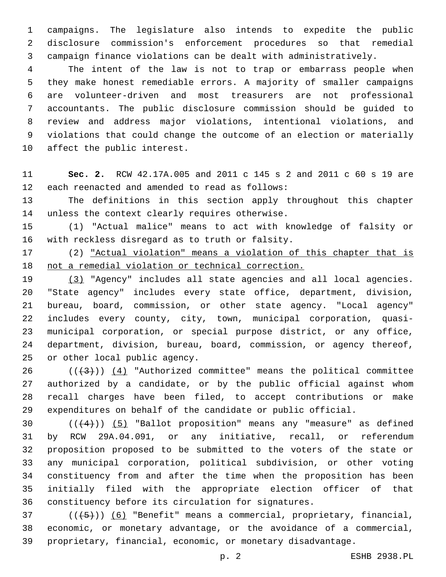campaigns. The legislature also intends to expedite the public disclosure commission's enforcement procedures so that remedial campaign finance violations can be dealt with administratively.

 The intent of the law is not to trap or embarrass people when they make honest remediable errors. A majority of smaller campaigns are volunteer-driven and most treasurers are not professional accountants. The public disclosure commission should be guided to review and address major violations, intentional violations, and violations that could change the outcome of an election or materially 10 affect the public interest.

 **Sec. 2.** RCW 42.17A.005 and 2011 c 145 s 2 and 2011 c 60 s 19 are 12 each reenacted and amended to read as follows:

 The definitions in this section apply throughout this chapter 14 unless the context clearly requires otherwise.

 (1) "Actual malice" means to act with knowledge of falsity or 16 with reckless disregard as to truth or falsity.

 (2) "Actual violation" means a violation of this chapter that is not a remedial violation or technical correction.

 (3) "Agency" includes all state agencies and all local agencies. "State agency" includes every state office, department, division, bureau, board, commission, or other state agency. "Local agency" includes every county, city, town, municipal corporation, quasi- municipal corporation, or special purpose district, or any office, department, division, bureau, board, commission, or agency thereof, 25 or other local public agency.

 $((+3))$   $(4)$  "Authorized committee" means the political committee authorized by a candidate, or by the public official against whom recall charges have been filed, to accept contributions or make expenditures on behalf of the candidate or public official.

 $((+4))$   $(5)$  "Ballot proposition" means any "measure" as defined by RCW 29A.04.091, or any initiative, recall, or referendum proposition proposed to be submitted to the voters of the state or any municipal corporation, political subdivision, or other voting constituency from and after the time when the proposition has been initially filed with the appropriate election officer of that constituency before its circulation for signatures.

 ( $(\overline{+5})$ ) (6) "Benefit" means a commercial, proprietary, financial, economic, or monetary advantage, or the avoidance of a commercial, proprietary, financial, economic, or monetary disadvantage.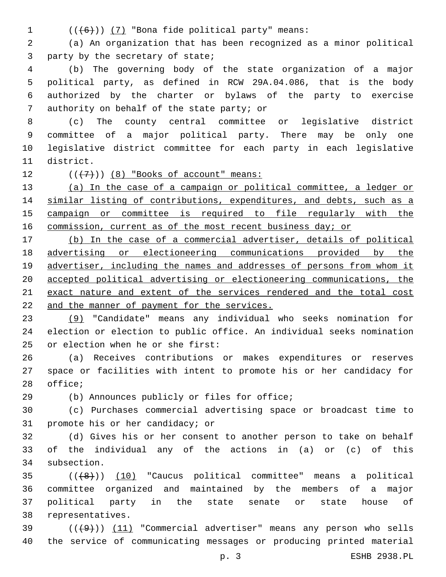- 
- 1  $((+6+))$  (7) "Bona fide political party" means:

 (a) An organization that has been recognized as a minor political 3 party by the secretary of state;

 (b) The governing body of the state organization of a major political party, as defined in RCW 29A.04.086, that is the body authorized by the charter or bylaws of the party to exercise 7 authority on behalf of the state party; or

 (c) The county central committee or legislative district committee of a major political party. There may be only one legislative district committee for each party in each legislative 11 district.

12  $((+7))$   $(8)$  "Books of account" means:

 (a) In the case of a campaign or political committee, a ledger or 14 similar listing of contributions, expenditures, and debts, such as a campaign or committee is required to file regularly with the 16 commission, current as of the most recent business day; or

 (b) In the case of a commercial advertiser, details of political advertising or electioneering communications provided by the 19 advertiser, including the names and addresses of persons from whom it accepted political advertising or electioneering communications, the exact nature and extent of the services rendered and the total cost and the manner of payment for the services.

 (9) "Candidate" means any individual who seeks nomination for election or election to public office. An individual seeks nomination 25 or election when he or she first:

 (a) Receives contributions or makes expenditures or reserves space or facilities with intent to promote his or her candidacy for 28 office;

(b) Announces publicly or files for office;

 (c) Purchases commercial advertising space or broadcast time to 31 promote his or her candidacy; or

 (d) Gives his or her consent to another person to take on behalf of the individual any of the actions in (a) or (c) of this 34 subsection.

 (((8))) (10) "Caucus political committee" means a political committee organized and maintained by the members of a major political party in the state senate or state house of 38 representatives.

 $(1)$  ( $(1)$   $(11)$  "Commercial advertiser" means any person who sells the service of communicating messages or producing printed material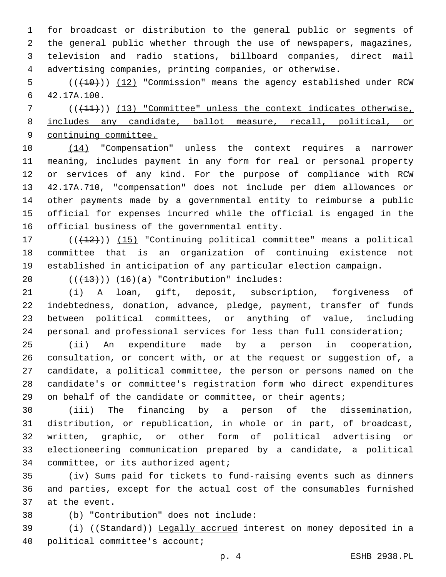for broadcast or distribution to the general public or segments of the general public whether through the use of newspapers, magazines, television and radio stations, billboard companies, direct mail advertising companies, printing companies, or otherwise.

5 (( $(10)$ )) (12) "Commission" means the agency established under RCW 42.17A.100.6

 (( $(11)$ )) (13) "Committee" unless the context indicates otherwise, includes any candidate, ballot measure, recall, political, or continuing committee.

 (14) "Compensation" unless the context requires a narrower meaning, includes payment in any form for real or personal property or services of any kind. For the purpose of compliance with RCW 42.17A.710, "compensation" does not include per diem allowances or other payments made by a governmental entity to reimburse a public official for expenses incurred while the official is engaged in the 16 official business of the governmental entity.

17 (( $(12)$ )) (15) "Continuing political committee" means a political committee that is an organization of continuing existence not established in anticipation of any particular election campaign.

20  $((+13))$   $(16)(a)$  "Contribution" includes:

 (i) A loan, gift, deposit, subscription, forgiveness of indebtedness, donation, advance, pledge, payment, transfer of funds between political committees, or anything of value, including personal and professional services for less than full consideration;

 (ii) An expenditure made by a person in cooperation, consultation, or concert with, or at the request or suggestion of, a candidate, a political committee, the person or persons named on the candidate's or committee's registration form who direct expenditures on behalf of the candidate or committee, or their agents;

 (iii) The financing by a person of the dissemination, distribution, or republication, in whole or in part, of broadcast, written, graphic, or other form of political advertising or electioneering communication prepared by a candidate, a political 34 committee, or its authorized agent;

 (iv) Sums paid for tickets to fund-raising events such as dinners and parties, except for the actual cost of the consumables furnished 37 at the event.

(b) "Contribution" does not include:38

 (i) ((Standard)) Legally accrued interest on money deposited in a 40 political committee's account;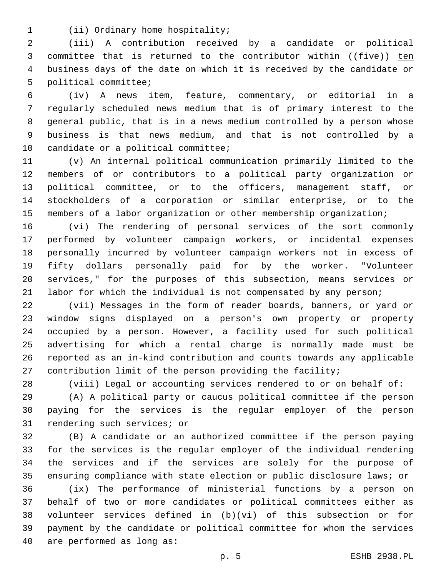1 (ii) Ordinary home hospitality;

 (iii) A contribution received by a candidate or political 3 committee that is returned to the contributor within  $((five))$  ten business days of the date on which it is received by the candidate or 5 political committee;

 (iv) A news item, feature, commentary, or editorial in a regularly scheduled news medium that is of primary interest to the general public, that is in a news medium controlled by a person whose business is that news medium, and that is not controlled by a 10 candidate or a political committee;

 (v) An internal political communication primarily limited to the members of or contributors to a political party organization or political committee, or to the officers, management staff, or stockholders of a corporation or similar enterprise, or to the members of a labor organization or other membership organization;

 (vi) The rendering of personal services of the sort commonly performed by volunteer campaign workers, or incidental expenses personally incurred by volunteer campaign workers not in excess of fifty dollars personally paid for by the worker. "Volunteer services," for the purposes of this subsection, means services or labor for which the individual is not compensated by any person;

 (vii) Messages in the form of reader boards, banners, or yard or window signs displayed on a person's own property or property occupied by a person. However, a facility used for such political advertising for which a rental charge is normally made must be reported as an in-kind contribution and counts towards any applicable contribution limit of the person providing the facility;

(viii) Legal or accounting services rendered to or on behalf of:

 (A) A political party or caucus political committee if the person paying for the services is the regular employer of the person 31 rendering such services; or

 (B) A candidate or an authorized committee if the person paying for the services is the regular employer of the individual rendering the services and if the services are solely for the purpose of ensuring compliance with state election or public disclosure laws; or

 (ix) The performance of ministerial functions by a person on behalf of two or more candidates or political committees either as volunteer services defined in (b)(vi) of this subsection or for payment by the candidate or political committee for whom the services 40 are performed as long as: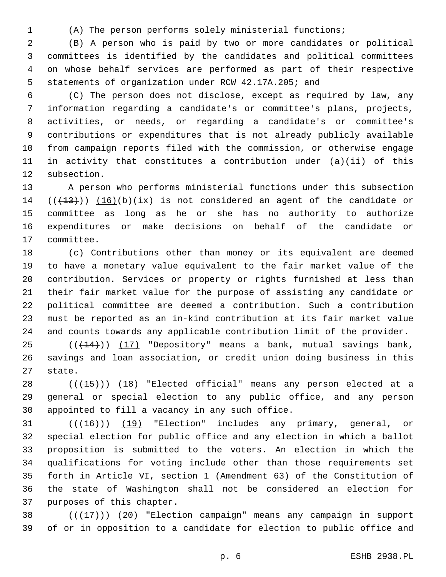(A) The person performs solely ministerial functions;

 (B) A person who is paid by two or more candidates or political committees is identified by the candidates and political committees on whose behalf services are performed as part of their respective statements of organization under RCW 42.17A.205; and

 (C) The person does not disclose, except as required by law, any information regarding a candidate's or committee's plans, projects, activities, or needs, or regarding a candidate's or committee's contributions or expenditures that is not already publicly available from campaign reports filed with the commission, or otherwise engage in activity that constitutes a contribution under (a)(ii) of this 12 subsection.

 A person who performs ministerial functions under this subsection  $((+13))$   $(16)(b)(ix)$  is not considered an agent of the candidate or committee as long as he or she has no authority to authorize expenditures or make decisions on behalf of the candidate or 17 committee.

 (c) Contributions other than money or its equivalent are deemed to have a monetary value equivalent to the fair market value of the contribution. Services or property or rights furnished at less than their fair market value for the purpose of assisting any candidate or political committee are deemed a contribution. Such a contribution must be reported as an in-kind contribution at its fair market value and counts towards any applicable contribution limit of the provider.

25 (( $(14)$ )) (17) "Depository" means a bank, mutual savings bank, savings and loan association, or credit union doing business in this 27 state.

28  $((+15))$   $(18)$  "Elected official" means any person elected at a general or special election to any public office, and any person 30 appointed to fill a vacancy in any such office.

 $((+16))$   $(19)$  "Election" includes any primary, general, or special election for public office and any election in which a ballot proposition is submitted to the voters. An election in which the qualifications for voting include other than those requirements set forth in Article VI, section 1 (Amendment 63) of the Constitution of the state of Washington shall not be considered an election for 37 purposes of this chapter.

38  $((+17))$   $(20)$  "Election campaign" means any campaign in support of or in opposition to a candidate for election to public office and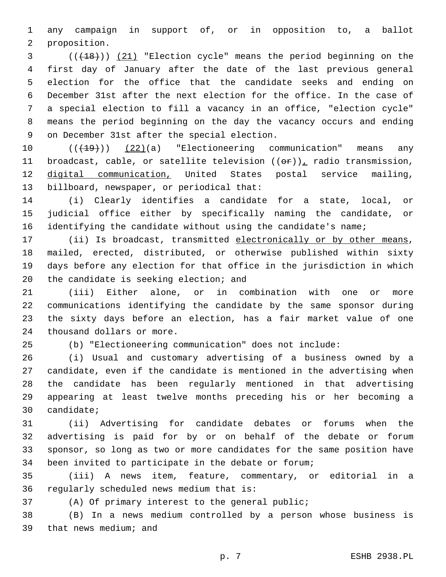any campaign in support of, or in opposition to, a ballot 2 proposition.

3 (( $(18)$ )) (21) "Election cycle" means the period beginning on the first day of January after the date of the last previous general election for the office that the candidate seeks and ending on December 31st after the next election for the office. In the case of a special election to fill a vacancy in an office, "election cycle" means the period beginning on the day the vacancy occurs and ending 9 on December 31st after the special election.

10 (( $\left(\frac{19}{19}\right)$ ) (22)(a) "Electioneering communication" means any 11 broadcast, cable, or satellite television  $((\theta \cdot \mathbf{r}))$ , radio transmission, digital communication, United States postal service mailing, 13 billboard, newspaper, or periodical that:

 (i) Clearly identifies a candidate for a state, local, or judicial office either by specifically naming the candidate, or 16 identifying the candidate without using the candidate's name;

17 (ii) Is broadcast, transmitted electronically or by other means, mailed, erected, distributed, or otherwise published within sixty days before any election for that office in the jurisdiction in which 20 the candidate is seeking election; and

 (iii) Either alone, or in combination with one or more communications identifying the candidate by the same sponsor during the sixty days before an election, has a fair market value of one 24 thousand dollars or more.

(b) "Electioneering communication" does not include:

 (i) Usual and customary advertising of a business owned by a candidate, even if the candidate is mentioned in the advertising when the candidate has been regularly mentioned in that advertising appearing at least twelve months preceding his or her becoming a 30 candidate;

 (ii) Advertising for candidate debates or forums when the advertising is paid for by or on behalf of the debate or forum sponsor, so long as two or more candidates for the same position have been invited to participate in the debate or forum;

 (iii) A news item, feature, commentary, or editorial in a 36 regularly scheduled news medium that is:

(A) Of primary interest to the general public;

 (B) In a news medium controlled by a person whose business is 39 that news medium; and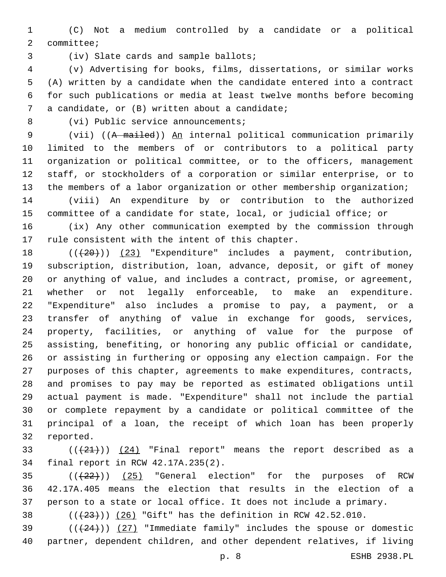(C) Not a medium controlled by a candidate or a political 2 committee;

3 (iv) Slate cards and sample ballots;

 (v) Advertising for books, films, dissertations, or similar works (A) written by a candidate when the candidate entered into a contract for such publications or media at least twelve months before becoming 7 a candidate, or (B) written about a candidate;

8 (vi) Public service announcements;

 (vii) ((A mailed)) An internal political communication primarily limited to the members of or contributors to a political party organization or political committee, or to the officers, management staff, or stockholders of a corporation or similar enterprise, or to the members of a labor organization or other membership organization;

 (viii) An expenditure by or contribution to the authorized committee of a candidate for state, local, or judicial office; or

 (ix) Any other communication exempted by the commission through 17 rule consistent with the intent of this chapter.

 $((+20))$  (23) "Expenditure" includes a payment, contribution, subscription, distribution, loan, advance, deposit, or gift of money or anything of value, and includes a contract, promise, or agreement, whether or not legally enforceable, to make an expenditure. "Expenditure" also includes a promise to pay, a payment, or a transfer of anything of value in exchange for goods, services, property, facilities, or anything of value for the purpose of assisting, benefiting, or honoring any public official or candidate, or assisting in furthering or opposing any election campaign. For the purposes of this chapter, agreements to make expenditures, contracts, and promises to pay may be reported as estimated obligations until actual payment is made. "Expenditure" shall not include the partial or complete repayment by a candidate or political committee of the principal of a loan, the receipt of which loan has been properly 32 reported.

33  $((+21))$   $(24)$  "Final report" means the report described as a 34 final report in RCW 42.17A.235(2).

  $((+22))$   $(25)$  "General election" for the purposes of RCW 42.17A.405 means the election that results in the election of a person to a state or local office. It does not include a primary.

38  $((+23))$   $(26)$  "Gift" has the definition in RCW 42.52.010.

39  $((+24))$   $(27)$  "Immediate family" includes the spouse or domestic partner, dependent children, and other dependent relatives, if living

p. 8 ESHB 2938.PL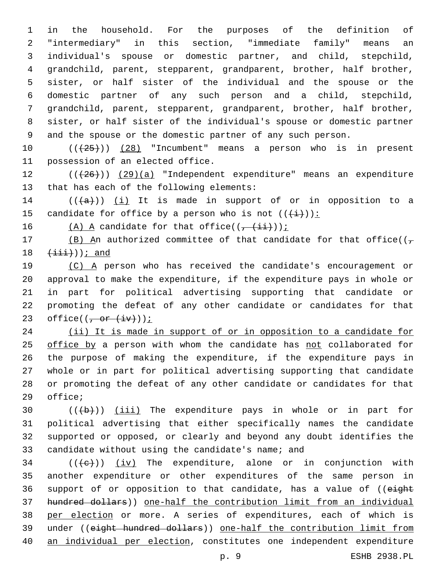in the household. For the purposes of the definition of "intermediary" in this section, "immediate family" means an individual's spouse or domestic partner, and child, stepchild, grandchild, parent, stepparent, grandparent, brother, half brother, sister, or half sister of the individual and the spouse or the domestic partner of any such person and a child, stepchild, grandchild, parent, stepparent, grandparent, brother, half brother, sister, or half sister of the individual's spouse or domestic partner and the spouse or the domestic partner of any such person.

10  $((+25))$   $(28)$  "Incumbent" means a person who is in present 11 possession of an elected office.

12 (( $(426)$ )) (29)(a) "Independent expenditure" means an expenditure 13 that has each of the following elements:

14  $((+a))$   $(i)$  It is made in support of or in opposition to a 15 candidate for office by a person who is not  $((+\frac{1}{2})^2)$ :

16  $(A)$  A candidate for that office(( $\frac{1+i}{1+i}$ ));

17 (B) An authorized committee of that candidate for that office( $(\tau$  $(\pm \pm \pm \cdot))$ ; and

 (C) A person who has received the candidate's encouragement or approval to make the expenditure, if the expenditure pays in whole or in part for political advertising supporting that candidate or promoting the defeat of any other candidate or candidates for that 23 office( $(-$ or  $(i+1)(i)$ );

24 (ii) It is made in support of or in opposition to a candidate for office by a person with whom the candidate has not collaborated for the purpose of making the expenditure, if the expenditure pays in whole or in part for political advertising supporting that candidate or promoting the defeat of any other candidate or candidates for that 29 office;

 $((+b))$   $(iii)$  The expenditure pays in whole or in part for political advertising that either specifically names the candidate supported or opposed, or clearly and beyond any doubt identifies the 33 candidate without using the candidate's name; and

 (( $\left(\frac{1}{10}\right)$ ) (iv) The expenditure, alone or in conjunction with another expenditure or other expenditures of the same person in 36 support of or opposition to that candidate, has a value of ((eight hundred dollars)) one-half the contribution limit from an individual per election or more. A series of expenditures, each of which is under ((eight hundred dollars)) one-half the contribution limit from an individual per election, constitutes one independent expenditure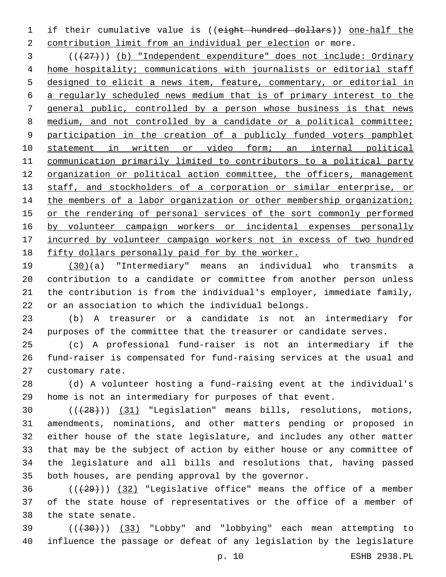if their cumulative value is ((eight hundred dollars)) one-half the contribution limit from an individual per election or more.

 (((27))) (b) "Independent expenditure" does not include: Ordinary home hospitality; communications with journalists or editorial staff designed to elicit a news item, feature, commentary, or editorial in a regularly scheduled news medium that is of primary interest to the general public, controlled by a person whose business is that news 8 medium, and not controlled by a candidate or a political committee; participation in the creation of a publicly funded voters pamphlet statement in written or video form; an internal political communication primarily limited to contributors to a political party organization or political action committee, the officers, management 13 staff, and stockholders of a corporation or similar enterprise, or 14 the members of a labor organization or other membership organization; or the rendering of personal services of the sort commonly performed 16 by volunteer campaign workers or incidental expenses personally incurred by volunteer campaign workers not in excess of two hundred fifty dollars personally paid for by the worker.

 (30)(a) "Intermediary" means an individual who transmits a contribution to a candidate or committee from another person unless the contribution is from the individual's employer, immediate family, or an association to which the individual belongs.

 (b) A treasurer or a candidate is not an intermediary for purposes of the committee that the treasurer or candidate serves.

 (c) A professional fund-raiser is not an intermediary if the fund-raiser is compensated for fund-raising services at the usual and 27 customary rate.

 (d) A volunteer hosting a fund-raising event at the individual's home is not an intermediary for purposes of that event.

30 (( $(28)$ )) (31) "Legislation" means bills, resolutions, motions, amendments, nominations, and other matters pending or proposed in either house of the state legislature, and includes any other matter that may be the subject of action by either house or any committee of the legislature and all bills and resolutions that, having passed both houses, are pending approval by the governor.

 ( $(\frac{29}{1})$   $(32)$  "Legislative office" means the office of a member of the state house of representatives or the office of a member of 38 the state senate.

 (((30))) (33) "Lobby" and "lobbying" each mean attempting to influence the passage or defeat of any legislation by the legislature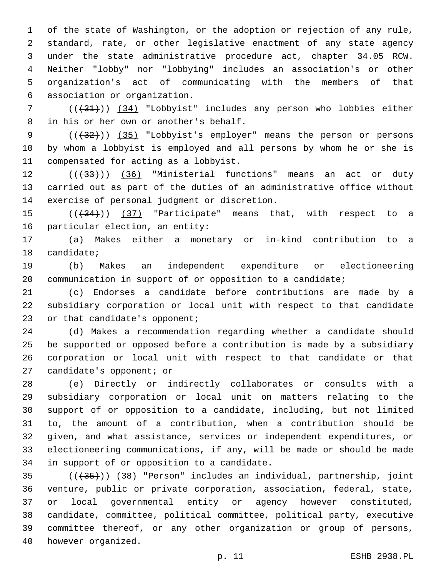of the state of Washington, or the adoption or rejection of any rule, standard, rate, or other legislative enactment of any state agency under the state administrative procedure act, chapter 34.05 RCW. Neither "lobby" nor "lobbying" includes an association's or other organization's act of communicating with the members of that association or organization.6

 ( $(\frac{431}{31})$ ) (34) "Lobbyist" includes any person who lobbies either 8 in his or her own or another's behalf.

9 (( $(35)$  "Lobbyist's employer" means the person or persons by whom a lobbyist is employed and all persons by whom he or she is 11 compensated for acting as a lobbyist.

 ( $(\overline{33})$ ) (36) "Ministerial functions" means an act or duty carried out as part of the duties of an administrative office without 14 exercise of personal judgment or discretion.

 $((+34))$   $(37)$  "Participate" means that, with respect to a 16 particular election, an entity:

 (a) Makes either a monetary or in-kind contribution to a 18 candidate;

 (b) Makes an independent expenditure or electioneering communication in support of or opposition to a candidate;

 (c) Endorses a candidate before contributions are made by a subsidiary corporation or local unit with respect to that candidate 23 or that candidate's opponent;

 (d) Makes a recommendation regarding whether a candidate should be supported or opposed before a contribution is made by a subsidiary corporation or local unit with respect to that candidate or that 27 candidate's opponent; or

 (e) Directly or indirectly collaborates or consults with a subsidiary corporation or local unit on matters relating to the support of or opposition to a candidate, including, but not limited to, the amount of a contribution, when a contribution should be given, and what assistance, services or independent expenditures, or electioneering communications, if any, will be made or should be made 34 in support of or opposition to a candidate.

 (((35))) (38) "Person" includes an individual, partnership, joint venture, public or private corporation, association, federal, state, or local governmental entity or agency however constituted, candidate, committee, political committee, political party, executive committee thereof, or any other organization or group of persons, 40 however organized.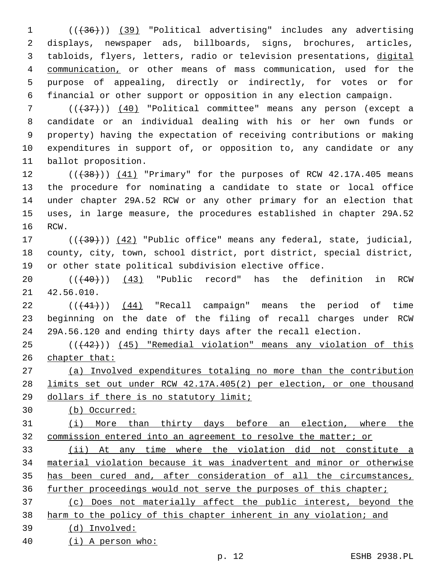1 (( $(36)$ )) (39) "Political advertising" includes any advertising displays, newspaper ads, billboards, signs, brochures, articles, tabloids, flyers, letters, radio or television presentations, digital communication, or other means of mass communication, used for the purpose of appealing, directly or indirectly, for votes or for financial or other support or opposition in any election campaign.

 (((37))) (40) "Political committee" means any person (except a candidate or an individual dealing with his or her own funds or property) having the expectation of receiving contributions or making expenditures in support of, or opposition to, any candidate or any 11 ballot proposition.

 $((+38))$   $(41)$  "Primary" for the purposes of RCW 42.17A.405 means the procedure for nominating a candidate to state or local office under chapter 29A.52 RCW or any other primary for an election that uses, in large measure, the procedures established in chapter 29A.52 16 RCW.

17 (( $\left(\frac{139}{12}\right)$  (42) "Public office" means any federal, state, judicial, county, city, town, school district, port district, special district, or other state political subdivision elective office.

 $((440))$   $(43)$  "Public record" has the definition in RCW 21 42.56.010.

 $((44)$ ) (44) "Recall campaign" means the period of time beginning on the date of the filing of recall charges under RCW 29A.56.120 and ending thirty days after the recall election.

 (((42))) (45) "Remedial violation" means any violation of this chapter that:

 (a) Involved expenditures totaling no more than the contribution limits set out under RCW 42.17A.405(2) per election, or one thousand 29 dollars if there is no statutory limit;

(b) Occurred:

 (i) More than thirty days before an election, where the commission entered into an agreement to resolve the matter; or

 (ii) At any time where the violation did not constitute a material violation because it was inadvertent and minor or otherwise has been cured and, after consideration of all the circumstances, further proceedings would not serve the purposes of this chapter;

 (c) Does not materially affect the public interest, beyond the harm to the policy of this chapter inherent in any violation; and

 (d) Involved: (i) A person who: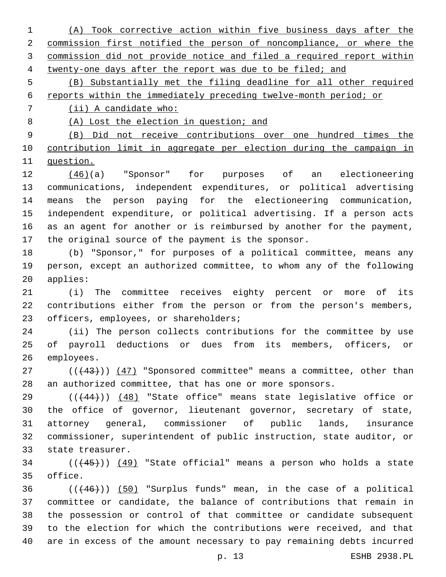(A) Took corrective action within five business days after the commission first notified the person of noncompliance, or where the commission did not provide notice and filed a required report within twenty-one days after the report was due to be filed; and (B) Substantially met the filing deadline for all other required reports within the immediately preceding twelve-month period; or (ii) A candidate who: (A) Lost the election in question; and (B) Did not receive contributions over one hundred times the contribution limit in aggregate per election during the campaign in question. (46)(a) "Sponsor" for purposes of an electioneering communications, independent expenditures, or political advertising means the person paying for the electioneering communication, independent expenditure, or political advertising. If a person acts as an agent for another or is reimbursed by another for the payment, the original source of the payment is the sponsor. (b) "Sponsor," for purposes of a political committee, means any person, except an authorized committee, to whom any of the following 20 applies: (i) The committee receives eighty percent or more of its contributions either from the person or from the person's members, 23 officers, employees, or shareholders; (ii) The person collects contributions for the committee by use of payroll deductions or dues from its members, officers, or 26 employees. (( $(43)$ )) ( $47$ ) "Sponsored committee" means a committee, other than an authorized committee, that has one or more sponsors.

 (((44))) (48) "State office" means state legislative office or the office of governor, lieutenant governor, secretary of state, attorney general, commissioner of public lands, insurance commissioner, superintendent of public instruction, state auditor, or 33 state treasurer.

 ( $(445)$ )  $(49)$  "State official" means a person who holds a state 35 office.

 ( $(446)$ ) (50) "Surplus funds" mean, in the case of a political committee or candidate, the balance of contributions that remain in the possession or control of that committee or candidate subsequent to the election for which the contributions were received, and that are in excess of the amount necessary to pay remaining debts incurred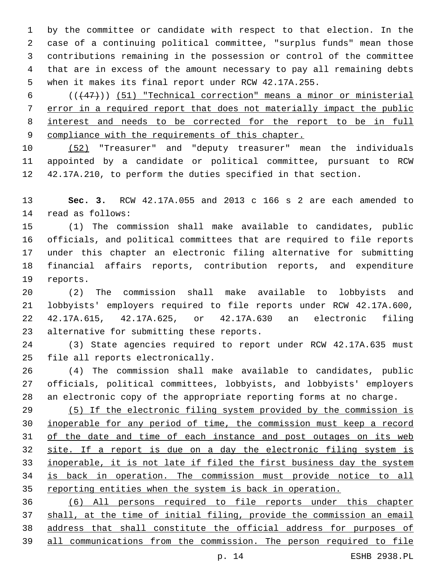by the committee or candidate with respect to that election. In the case of a continuing political committee, "surplus funds" mean those contributions remaining in the possession or control of the committee that are in excess of the amount necessary to pay all remaining debts when it makes its final report under RCW 42.17A.255.

 ( $(\overline{47})$ ) (51) "Technical correction" means a minor or ministerial error in a required report that does not materially impact the public interest and needs to be corrected for the report to be in full compliance with the requirements of this chapter.

 (52) "Treasurer" and "deputy treasurer" mean the individuals appointed by a candidate or political committee, pursuant to RCW 42.17A.210, to perform the duties specified in that section.

 **Sec. 3.** RCW 42.17A.055 and 2013 c 166 s 2 are each amended to 14 read as follows:

 (1) The commission shall make available to candidates, public officials, and political committees that are required to file reports under this chapter an electronic filing alternative for submitting financial affairs reports, contribution reports, and expenditure 19 reports.

 (2) The commission shall make available to lobbyists and lobbyists' employers required to file reports under RCW 42.17A.600, 42.17A.615, 42.17A.625, or 42.17A.630 an electronic filing 23 alternative for submitting these reports.

 (3) State agencies required to report under RCW 42.17A.635 must 25 file all reports electronically.

 (4) The commission shall make available to candidates, public officials, political committees, lobbyists, and lobbyists' employers an electronic copy of the appropriate reporting forms at no charge.

 (5) If the electronic filing system provided by the commission is inoperable for any period of time, the commission must keep a record 31 of the date and time of each instance and post outages on its web site. If a report is due on a day the electronic filing system is inoperable, it is not late if filed the first business day the system is back in operation. The commission must provide notice to all reporting entities when the system is back in operation.

 (6) All persons required to file reports under this chapter shall, at the time of initial filing, provide the commission an email address that shall constitute the official address for purposes of all communications from the commission. The person required to file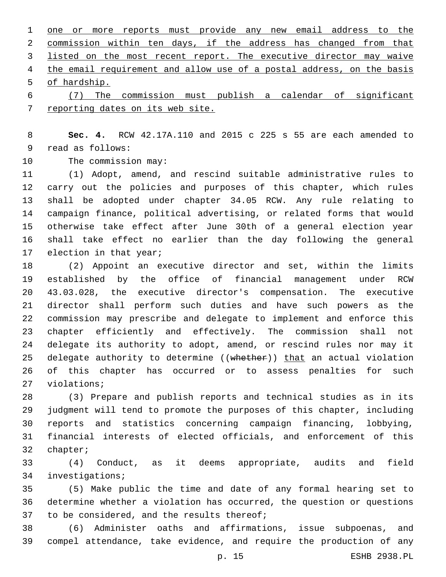one or more reports must provide any new email address to the commission within ten days, if the address has changed from that listed on the most recent report. The executive director may waive 4 the email requirement and allow use of a postal address, on the basis 5 of hardship.

 (7) The commission must publish a calendar of significant reporting dates on its web site.

 **Sec. 4.** RCW 42.17A.110 and 2015 c 225 s 55 are each amended to 9 read as follows:

10 The commission may:

 (1) Adopt, amend, and rescind suitable administrative rules to carry out the policies and purposes of this chapter, which rules shall be adopted under chapter 34.05 RCW. Any rule relating to campaign finance, political advertising, or related forms that would otherwise take effect after June 30th of a general election year shall take effect no earlier than the day following the general 17 election in that year;

 (2) Appoint an executive director and set, within the limits established by the office of financial management under RCW 43.03.028, the executive director's compensation. The executive director shall perform such duties and have such powers as the commission may prescribe and delegate to implement and enforce this chapter efficiently and effectively. The commission shall not delegate its authority to adopt, amend, or rescind rules nor may it 25 delegate authority to determine ((whether)) that an actual violation of this chapter has occurred or to assess penalties for such 27 violations;

 (3) Prepare and publish reports and technical studies as in its judgment will tend to promote the purposes of this chapter, including reports and statistics concerning campaign financing, lobbying, financial interests of elected officials, and enforcement of this 32 chapter;

 (4) Conduct, as it deems appropriate, audits and field 34 investigations;

 (5) Make public the time and date of any formal hearing set to determine whether a violation has occurred, the question or questions 37 to be considered, and the results thereof;

 (6) Administer oaths and affirmations, issue subpoenas, and compel attendance, take evidence, and require the production of any

p. 15 ESHB 2938.PL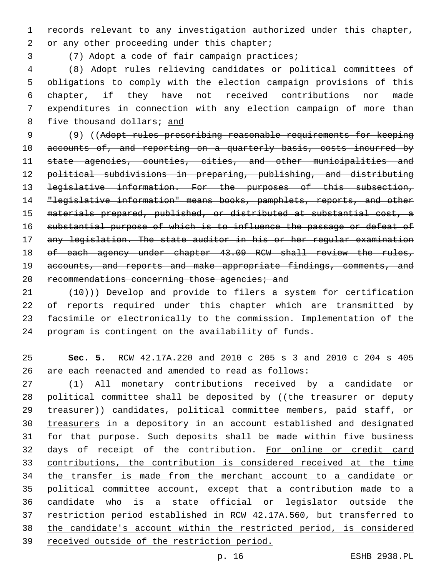records relevant to any investigation authorized under this chapter, 2 or any other proceeding under this chapter;

3 (7) Adopt a code of fair campaign practices;

 (8) Adopt rules relieving candidates or political committees of obligations to comply with the election campaign provisions of this chapter, if they have not received contributions nor made expenditures in connection with any election campaign of more than five thousand dollars; and

 (9) ((Adopt rules prescribing reasonable requirements for keeping 10 accounts of, and reporting on a quarterly basis, costs incurred by state agencies, counties, cities, and other municipalities and political subdivisions in preparing, publishing, and distributing 13 <del>legislative information. For the purposes of this subsection,</del> "legislative information" means books, pamphlets, reports, and other materials prepared, published, or distributed at substantial cost, a substantial purpose of which is to influence the passage or defeat of any legislation. The state auditor in his or her regular examination 18 of each agency under chapter 43.09 RCW shall review the rules, 19 accounts, and reports and make appropriate findings, comments, and 20 recommendations concerning those agencies; and

 $(10)$  (10))) Develop and provide to filers a system for certification of reports required under this chapter which are transmitted by facsimile or electronically to the commission. Implementation of the program is contingent on the availability of funds.

 **Sec. 5.** RCW 42.17A.220 and 2010 c 205 s 3 and 2010 c 204 s 405 are each reenacted and amended to read as follows:

 (1) All monetary contributions received by a candidate or 28 political committee shall be deposited by (( $t$ he treasurer or deputy 29 treasurer)) candidates, political committee members, paid staff, or treasurers in a depository in an account established and designated for that purpose. Such deposits shall be made within five business days of receipt of the contribution. For online or credit card contributions, the contribution is considered received at the time 34 the transfer is made from the merchant account to a candidate or political committee account, except that a contribution made to a candidate who is a state official or legislator outside the restriction period established in RCW 42.17A.560, but transferred to the candidate's account within the restricted period, is considered received outside of the restriction period.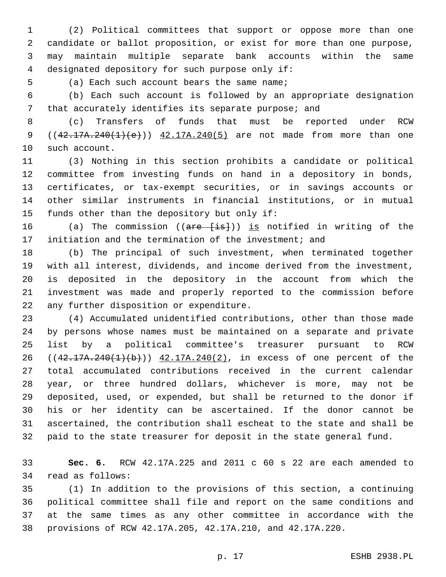(2) Political committees that support or oppose more than one candidate or ballot proposition, or exist for more than one purpose, may maintain multiple separate bank accounts within the same 4 designated depository for such purpose only if:

5 (a) Each such account bears the same name;

 (b) Each such account is followed by an appropriate designation that accurately identifies its separate purpose; and

 (c) Transfers of funds that must be reported under RCW 9 ( $(42.17A.240(1)(e))$  42.17A.240(5) are not made from more than one 10 such account.

 (3) Nothing in this section prohibits a candidate or political committee from investing funds on hand in a depository in bonds, certificates, or tax-exempt securities, or in savings accounts or other similar instruments in financial institutions, or in mutual 15 funds other than the depository but only if:

16 (a) The commission ((are [is])) is notified in writing of the initiation and the termination of the investment; and

 (b) The principal of such investment, when terminated together with all interest, dividends, and income derived from the investment, is deposited in the depository in the account from which the investment was made and properly reported to the commission before 22 any further disposition or expenditure.

 (4) Accumulated unidentified contributions, other than those made by persons whose names must be maintained on a separate and private list by a political committee's treasurer pursuant to RCW 26 ((42.17A.240(1)(b))) 42.17A.240(2), in excess of one percent of the total accumulated contributions received in the current calendar year, or three hundred dollars, whichever is more, may not be deposited, used, or expended, but shall be returned to the donor if his or her identity can be ascertained. If the donor cannot be ascertained, the contribution shall escheat to the state and shall be paid to the state treasurer for deposit in the state general fund.

 **Sec. 6.** RCW 42.17A.225 and 2011 c 60 s 22 are each amended to 34 read as follows:

 (1) In addition to the provisions of this section, a continuing political committee shall file and report on the same conditions and at the same times as any other committee in accordance with the provisions of RCW 42.17A.205, 42.17A.210, and 42.17A.220.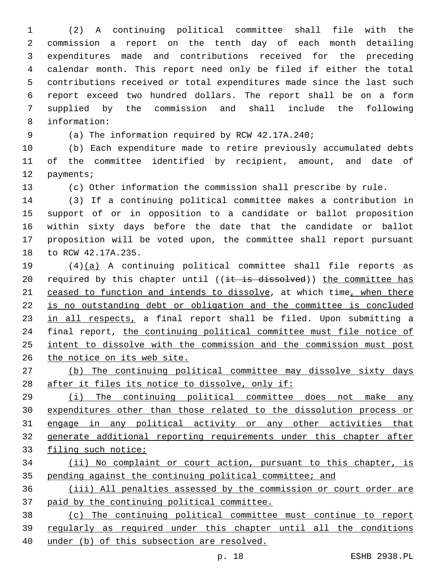(2) A continuing political committee shall file with the commission a report on the tenth day of each month detailing expenditures made and contributions received for the preceding calendar month. This report need only be filed if either the total contributions received or total expenditures made since the last such report exceed two hundred dollars. The report shall be on a form supplied by the commission and shall include the following information:8

(a) The information required by RCW 42.17A.240;

 (b) Each expenditure made to retire previously accumulated debts of the committee identified by recipient, amount, and date of 12 payments;

(c) Other information the commission shall prescribe by rule.

 (3) If a continuing political committee makes a contribution in support of or in opposition to a candidate or ballot proposition within sixty days before the date that the candidate or ballot proposition will be voted upon, the committee shall report pursuant 18 to RCW 42.17A.235.

 (4)(a) A continuing political committee shall file reports as 20 required by this chapter until  $((i + is dissolved))$  the committee has 21 ceased to function and intends to dissolve, at which time, when there is no outstanding debt or obligation and the committee is concluded 23 in all respects, a final report shall be filed. Upon submitting a 24 final report, the continuing political committee must file notice of intent to dissolve with the commission and the commission must post the notice on its web site.

 (b) The continuing political committee may dissolve sixty days 28 after it files its notice to dissolve, only if:

 (i) The continuing political committee does not make any expenditures other than those related to the dissolution process or engage in any political activity or any other activities that generate additional reporting requirements under this chapter after filing such notice;

 (ii) No complaint or court action, pursuant to this chapter, is pending against the continuing political committee; and

 (iii) All penalties assessed by the commission or court order are paid by the continuing political committee.

 (c) The continuing political committee must continue to report regularly as required under this chapter until all the conditions under (b) of this subsection are resolved.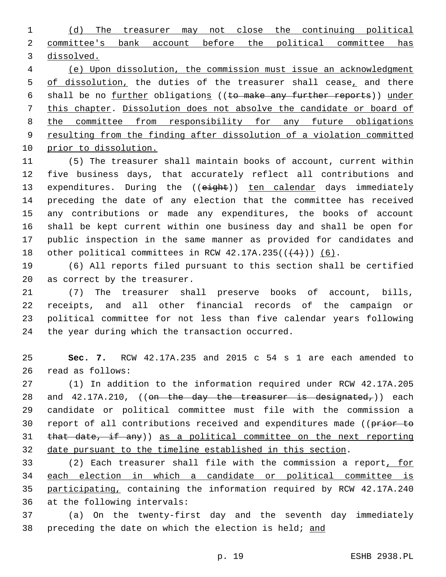(d) The treasurer may not close the continuing political committee's bank account before the political committee has dissolved.

 (e) Upon dissolution, the commission must issue an acknowledgment 5 of dissolution, the duties of the treasurer shall cease, and there 6 shall be no further obligations ((to make any further reports)) under this chapter. Dissolution does not absolve the candidate or board of 8 the committee from responsibility for any future obligations resulting from the finding after dissolution of a violation committed prior to dissolution.

 (5) The treasurer shall maintain books of account, current within five business days, that accurately reflect all contributions and 13 expenditures. During the ((eight)) ten calendar days immediately preceding the date of any election that the committee has received any contributions or made any expenditures, the books of account shall be kept current within one business day and shall be open for public inspection in the same manner as provided for candidates and 18 other political committees in RCW  $42.17A.235((+4))$  (6).

 (6) All reports filed pursuant to this section shall be certified 20 as correct by the treasurer.

 (7) The treasurer shall preserve books of account, bills, receipts, and all other financial records of the campaign or political committee for not less than five calendar years following 24 the year during which the transaction occurred.

 **Sec. 7.** RCW 42.17A.235 and 2015 c 54 s 1 are each amended to 26 read as follows:

 (1) In addition to the information required under RCW 42.17A.205 28 and  $42.17A.210$ , ((on the day the treasurer is designated,)) each candidate or political committee must file with the commission a 30 report of all contributions received and expenditures made ((prior to 31 that date, if any)) as a political committee on the next reporting date pursuant to the timeline established in this section.

 (2) Each treasurer shall file with the commission a report, for each election in which a candidate or political committee is 35 participating, containing the information required by RCW 42.17A.240 36 at the following intervals:

 (a) On the twenty-first day and the seventh day immediately 38 preceding the date on which the election is held; and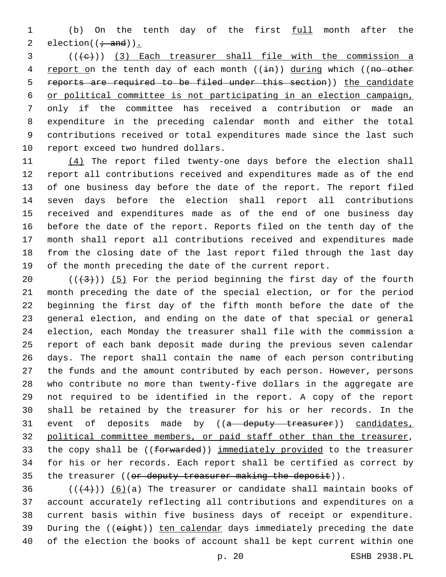1 (b) On the tenth day of the first full month after the 2 election( $(\div \text{ and})$ ).

  $((+e))$   $(3)$  Each treasurer shall file with the commission a 4 report on the tenth day of each month ((in)) during which ((no other reports are required to be filed under this section)) the candidate or political committee is not participating in an election campaign, only if the committee has received a contribution or made an expenditure in the preceding calendar month and either the total contributions received or total expenditures made since the last such 10 report exceed two hundred dollars.

11 (4) The report filed twenty-one days before the election shall report all contributions received and expenditures made as of the end of one business day before the date of the report. The report filed seven days before the election shall report all contributions received and expenditures made as of the end of one business day before the date of the report. Reports filed on the tenth day of the month shall report all contributions received and expenditures made from the closing date of the last report filed through the last day of the month preceding the date of the current report.

 $((+3+))$  (5) For the period beginning the first day of the fourth month preceding the date of the special election, or for the period beginning the first day of the fifth month before the date of the general election, and ending on the date of that special or general election, each Monday the treasurer shall file with the commission a report of each bank deposit made during the previous seven calendar days. The report shall contain the name of each person contributing the funds and the amount contributed by each person. However, persons who contribute no more than twenty-five dollars in the aggregate are not required to be identified in the report. A copy of the report shall be retained by the treasurer for his or her records. In the 31 event of deposits made by ((a deputy treasurer)) candidates, political committee members, or paid staff other than the treasurer, 33 the copy shall be ((forwarded)) immediately provided to the treasurer for his or her records. Each report shall be certified as correct by 35 the treasurer ((or deputy treasurer making the deposit)).

 $((+4))$   $(6)(a)$  The treasurer or candidate shall maintain books of account accurately reflecting all contributions and expenditures on a current basis within five business days of receipt or expenditure. 39 During the ((eight)) ten calendar days immediately preceding the date of the election the books of account shall be kept current within one

p. 20 ESHB 2938.PL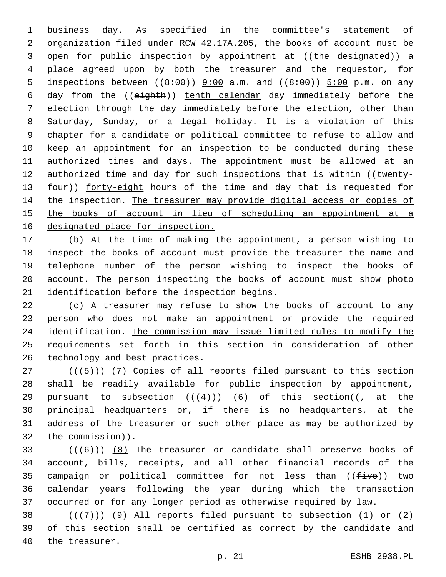business day. As specified in the committee's statement of organization filed under RCW 42.17A.205, the books of account must be 3 open for public inspection by appointment at ((the designated)) a place agreed upon by both the treasurer and the requestor, for 5 inspections between  $((8.00)$  9:00 a.m. and  $((8.00)$ ) 5:00 p.m. on any day from the ((eighth)) tenth calendar day immediately before the election through the day immediately before the election, other than Saturday, Sunday, or a legal holiday. It is a violation of this chapter for a candidate or political committee to refuse to allow and keep an appointment for an inspection to be conducted during these authorized times and days. The appointment must be allowed at an 12 authorized time and day for such inspections that is within ((twenty-13 four)) forty-eight hours of the time and day that is requested for the inspection. The treasurer may provide digital access or copies of 15 the books of account in lieu of scheduling an appointment at a 16 designated place for inspection.

 (b) At the time of making the appointment, a person wishing to inspect the books of account must provide the treasurer the name and telephone number of the person wishing to inspect the books of account. The person inspecting the books of account must show photo 21 identification before the inspection begins.

 (c) A treasurer may refuse to show the books of account to any person who does not make an appointment or provide the required identification. The commission may issue limited rules to modify the requirements set forth in this section in consideration of other technology and best practices.

 ( $(\overline{+5})$ ) (7) Copies of all reports filed pursuant to this section shall be readily available for public inspection by appointment, 29 pursuant to subsection  $((+4))$   $(6)$  of this section( $(-4)$  principal headquarters or, if there is no headquarters, at the 31 address of the treasurer or such other place as may be authorized by 32 the commission)).

33  $((+6+))$   $(8)$  The treasurer or candidate shall preserve books of account, bills, receipts, and all other financial records of the 35 campaign or political committee for not less than  $((five))$  two calendar years following the year during which the transaction 37 occurred or for any longer period as otherwise required by law.

38  $((+7+))$  (9) All reports filed pursuant to subsection (1) or (2) of this section shall be certified as correct by the candidate and 40 the treasurer.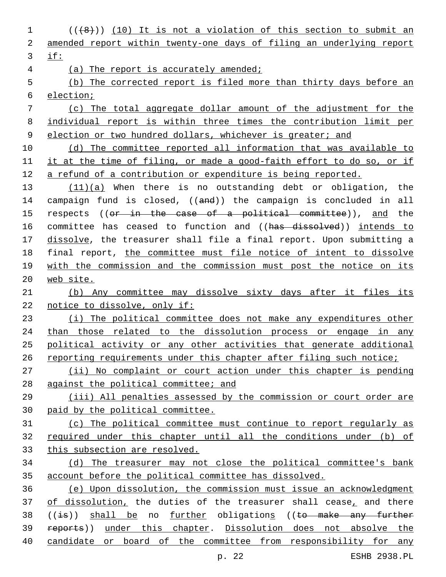(( $\{8\})$ ) (10) It is not a violation of this section to submit an amended report within twenty-one days of filing an underlying report if: (a) The report is accurately amended; (b) The corrected report is filed more than thirty days before an election; (c) The total aggregate dollar amount of the adjustment for the individual report is within three times the contribution limit per 9 election or two hundred dollars, whichever is greater; and (d) The committee reported all information that was available to it at the time of filing, or made a good-faith effort to do so, or if a refund of a contribution or expenditure is being reported. 13 (11)(a) When there is no outstanding debt or obligation, the 14 campaign fund is closed, ((and)) the campaign is concluded in all 15 respects ((or in the case of a political committee)), and the 16 committee has ceased to function and ((has dissolved)) intends to 17 dissolve, the treasurer shall file a final report. Upon submitting a final report, the committee must file notice of intent to dissolve with the commission and the commission must post the notice on its web site. (b) Any committee may dissolve sixty days after it files its notice to dissolve, only if: (i) The political committee does not make any expenditures other 24 than those related to the dissolution process or engage in any political activity or any other activities that generate additional 26 reporting requirements under this chapter after filing such notice; (ii) No complaint or court action under this chapter is pending against the political committee; and (iii) All penalties assessed by the commission or court order are paid by the political committee. (c) The political committee must continue to report regularly as required under this chapter until all the conditions under (b) of this subsection are resolved. (d) The treasurer may not close the political committee's bank account before the political committee has dissolved. (e) Upon dissolution, the commission must issue an acknowledgment 37 of dissolution, the duties of the treasurer shall cease, and there 38 ((is)) shall be no further obligations ((to make any further reports)) under this chapter. Dissolution does not absolve the candidate or board of the committee from responsibility for any

p. 22 ESHB 2938.PL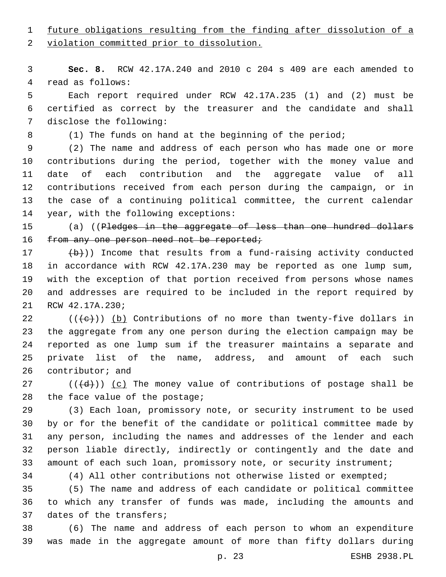# future obligations resulting from the finding after dissolution of a

2 violation committed prior to dissolution.

 **Sec. 8.** RCW 42.17A.240 and 2010 c 204 s 409 are each amended to 4 read as follows:

 Each report required under RCW 42.17A.235 (1) and (2) must be certified as correct by the treasurer and the candidate and shall 7 disclose the following:

8 (1) The funds on hand at the beginning of the period;

 (2) The name and address of each person who has made one or more contributions during the period, together with the money value and date of each contribution and the aggregate value of all contributions received from each person during the campaign, or in the case of a continuing political committee, the current calendar 14 year, with the following exceptions:

15 (a) ((<del>Pledges in the aggregate of less than one hundred dollars</del> 16 from any one person need not be reported;

 (b)) Income that results from a fund-raising activity conducted in accordance with RCW 42.17A.230 may be reported as one lump sum, with the exception of that portion received from persons whose names and addresses are required to be included in the report required by 21 RCW 42.17A.230;

 (( $\left( +e+ \right)$ ) (b) Contributions of no more than twenty-five dollars in the aggregate from any one person during the election campaign may be reported as one lump sum if the treasurer maintains a separate and private list of the name, address, and amount of each such 26 contributor; and

 (( $\left(\frac{d}{d}\right)$ ) <u>(c)</u> The money value of contributions of postage shall be 28 the face value of the postage;

 (3) Each loan, promissory note, or security instrument to be used by or for the benefit of the candidate or political committee made by any person, including the names and addresses of the lender and each person liable directly, indirectly or contingently and the date and amount of each such loan, promissory note, or security instrument;

(4) All other contributions not otherwise listed or exempted;

 (5) The name and address of each candidate or political committee to which any transfer of funds was made, including the amounts and 37 dates of the transfers;

 (6) The name and address of each person to whom an expenditure was made in the aggregate amount of more than fifty dollars during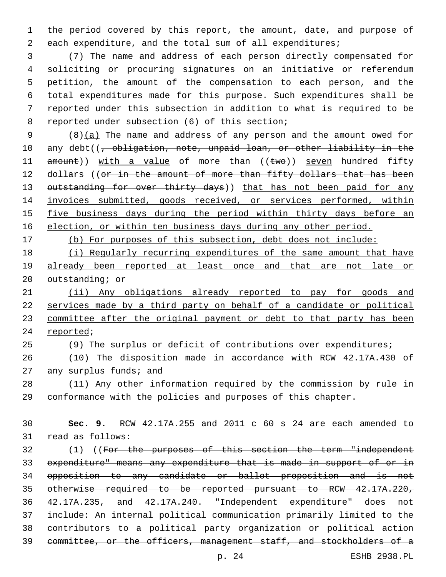the period covered by this report, the amount, date, and purpose of each expenditure, and the total sum of all expenditures;

 (7) The name and address of each person directly compensated for soliciting or procuring signatures on an initiative or referendum petition, the amount of the compensation to each person, and the total expenditures made for this purpose. Such expenditures shall be reported under this subsection in addition to what is required to be 8 reported under subsection (6) of this section;

9  $(8)(a)$  The name and address of any person and the amount owed for 10 any debt((, obligation, note, unpaid loan, or other liability in the 11 amount)) with a value of more than ((two)) seven hundred fifty 12 dollars ((or in the amount of more than fifty dollars that has been 13 outstanding for over thirty days)) that has not been paid for any invoices submitted, goods received, or services performed, within 15 five business days during the period within thirty days before an election, or within ten business days during any other period.

(b) For purposes of this subsection, debt does not include:

 (i) Regularly recurring expenditures of the same amount that have already been reported at least once and that are not late or 20 outstanding; or

21 (ii) Any obligations already reported to pay for goods and services made by a third party on behalf of a candidate or political committee after the original payment or debt to that party has been 24 reported;

(9) The surplus or deficit of contributions over expenditures;

 (10) The disposition made in accordance with RCW 42.17A.430 of any surplus funds; and

 (11) Any other information required by the commission by rule in conformance with the policies and purposes of this chapter.

 **Sec. 9.** RCW 42.17A.255 and 2011 c 60 s 24 are each amended to 31 read as follows:

 (1) ((For the purposes of this section the term "independent expenditure" means any expenditure that is made in support of or in opposition to any candidate or ballot proposition and is not otherwise required to be reported pursuant to RCW 42.17A.220, 42.17A.235, and 42.17A.240. "Independent expenditure" does not include: An internal political communication primarily limited to the contributors to a political party organization or political action committee, or the officers, management staff, and stockholders of a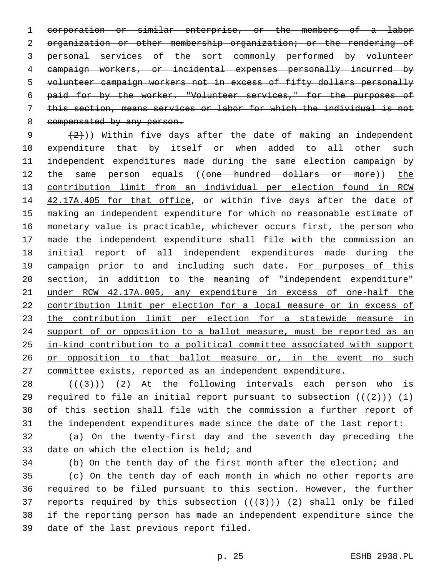corporation or similar enterprise, or the members of a labor organization or other membership organization; or the rendering of personal services of the sort commonly performed by volunteer campaign workers, or incidental expenses personally incurred by volunteer campaign workers not in excess of fifty dollars personally paid for by the worker. "Volunteer services," for the purposes of this section, means services or labor for which the individual is not 8 compensated by any person.

 $(2)$ )) Within five days after the date of making an independent expenditure that by itself or when added to all other such independent expenditures made during the same election campaign by 12 the same person equals ((one hundred dollars or more)) the contribution limit from an individual per election found in RCW 14 42.17A.405 for that office, or within five days after the date of making an independent expenditure for which no reasonable estimate of monetary value is practicable, whichever occurs first, the person who made the independent expenditure shall file with the commission an initial report of all independent expenditures made during the 19 campaign prior to and including such date. For purposes of this section, in addition to the meaning of "independent expenditure" under RCW 42.17A.005, any expenditure in excess of one-half the contribution limit per election for a local measure or in excess of the contribution limit per election for a statewide measure in 24 support of or opposition to a ballot measure, must be reported as an in-kind contribution to a political committee associated with support 26 or opposition to that ballot measure or, in the event no such committee exists, reported as an independent expenditure.

 $((+3+))$   $(2)$  At the following intervals each person who is 29 required to file an initial report pursuant to subsection  $((2+))$  (1) of this section shall file with the commission a further report of the independent expenditures made since the date of the last report:

 (a) On the twenty-first day and the seventh day preceding the 33 date on which the election is held; and

(b) On the tenth day of the first month after the election; and

 (c) On the tenth day of each month in which no other reports are required to be filed pursuant to this section. However, the further 37 reports required by this subsection  $((+3+))$   $(2)$  shall only be filed if the reporting person has made an independent expenditure since the 39 date of the last previous report filed.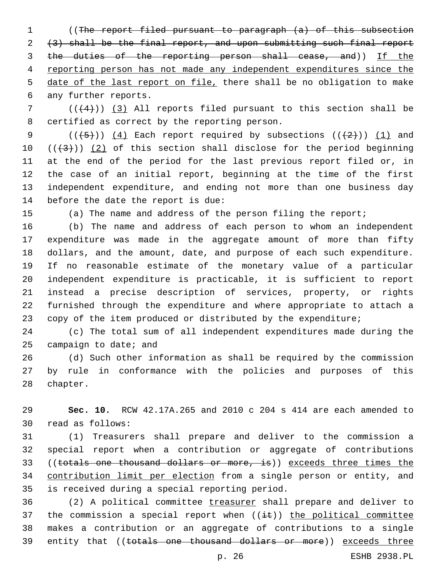((The report filed pursuant to paragraph (a) of this subsection (3) shall be the final report, and upon submitting such final report 3 the duties of the reporting person shall cease, and)) If the reporting person has not made any independent expenditures since the date of the last report on file, there shall be no obligation to make 6 any further reports.

 $((+4))$  (3) All reports filed pursuant to this section shall be 8 certified as correct by the reporting person.

9 ( $(\overline{+5})$ ) (4) Each report required by subsections ( $(\overline{+2})$ ) (1) and  $((+3))$   $(2)$  of this section shall disclose for the period beginning at the end of the period for the last previous report filed or, in the case of an initial report, beginning at the time of the first independent expenditure, and ending not more than one business day 14 before the date the report is due:

(a) The name and address of the person filing the report;

 (b) The name and address of each person to whom an independent expenditure was made in the aggregate amount of more than fifty dollars, and the amount, date, and purpose of each such expenditure. If no reasonable estimate of the monetary value of a particular independent expenditure is practicable, it is sufficient to report instead a precise description of services, property, or rights furnished through the expenditure and where appropriate to attach a copy of the item produced or distributed by the expenditure;

 (c) The total sum of all independent expenditures made during the campaign to date; and

 (d) Such other information as shall be required by the commission by rule in conformance with the policies and purposes of this 28 chapter.

 **Sec. 10.** RCW 42.17A.265 and 2010 c 204 s 414 are each amended to read as follows:30

 (1) Treasurers shall prepare and deliver to the commission a special report when a contribution or aggregate of contributions 33 ((totals one thousand dollars or more, is)) exceeds three times the contribution limit per election from a single person or entity, and 35 is received during a special reporting period.

36 (2) A political committee treasurer shall prepare and deliver to 37 the commission a special report when  $((i+1)(i+1))$  the political committee makes a contribution or an aggregate of contributions to a single 39 entity that ((totals one thousand dollars or more)) exceeds three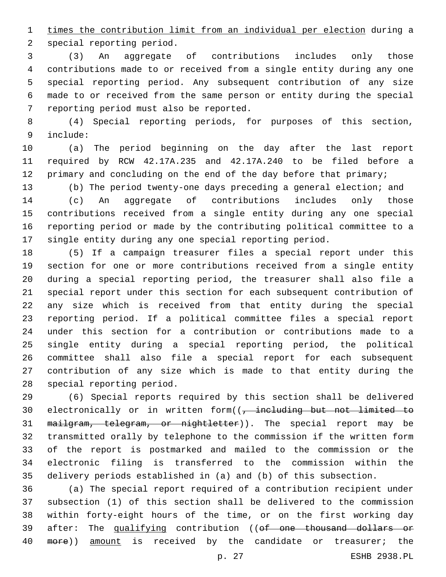times the contribution limit from an individual per election during a 2 special reporting period.

 (3) An aggregate of contributions includes only those contributions made to or received from a single entity during any one special reporting period. Any subsequent contribution of any size made to or received from the same person or entity during the special 7 reporting period must also be reported.

 (4) Special reporting periods, for purposes of this section, include:9

 (a) The period beginning on the day after the last report required by RCW 42.17A.235 and 42.17A.240 to be filed before a 12 primary and concluding on the end of the day before that primary;

 (b) The period twenty-one days preceding a general election; and (c) An aggregate of contributions includes only those contributions received from a single entity during any one special reporting period or made by the contributing political committee to a single entity during any one special reporting period.

 (5) If a campaign treasurer files a special report under this section for one or more contributions received from a single entity during a special reporting period, the treasurer shall also file a special report under this section for each subsequent contribution of any size which is received from that entity during the special reporting period. If a political committee files a special report under this section for a contribution or contributions made to a single entity during a special reporting period, the political committee shall also file a special report for each subsequent contribution of any size which is made to that entity during the 28 special reporting period.

 (6) Special reports required by this section shall be delivered 30 electronically or in written form( $\left( \frac{1}{f} \right)$  including but not limited to 31 mailgram, telegram, or nightletter)). The special report may be transmitted orally by telephone to the commission if the written form of the report is postmarked and mailed to the commission or the electronic filing is transferred to the commission within the delivery periods established in (a) and (b) of this subsection.

 (a) The special report required of a contribution recipient under subsection (1) of this section shall be delivered to the commission within forty-eight hours of the time, or on the first working day 39 after: The qualifying contribution ((of one thousand dollars or 40 more)) amount is received by the candidate or treasurer; the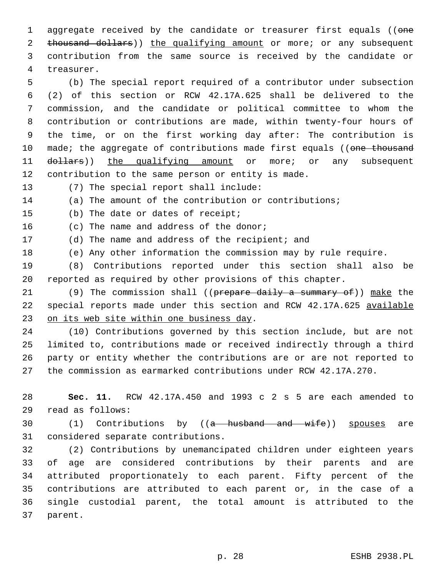1 aggregate received by the candidate or treasurer first equals ((one 2 thousand dollars)) the qualifying amount or more; or any subsequent 3 contribution from the same source is received by the candidate or 4 treasurer.

 (b) The special report required of a contributor under subsection (2) of this section or RCW 42.17A.625 shall be delivered to the commission, and the candidate or political committee to whom the contribution or contributions are made, within twenty-four hours of the time, or on the first working day after: The contribution is 10 made; the aggregate of contributions made first equals ((one thousand 11 dollars)) the qualifying amount or more; or any subsequent contribution to the same person or entity is made.

13 (7) The special report shall include:

14 (a) The amount of the contribution or contributions;

15 (b) The date or dates of receipt;

16 (c) The name and address of the donor;

17 (d) The name and address of the recipient; and

18 (e) Any other information the commission may by rule require.

19 (8) Contributions reported under this section shall also be 20 reported as required by other provisions of this chapter.

21 (9) The commission shall ((prepare daily a summary of)) make the 22 special reports made under this section and RCW 42.17A.625 available 23 on its web site within one business day.

 (10) Contributions governed by this section include, but are not limited to, contributions made or received indirectly through a third party or entity whether the contributions are or are not reported to the commission as earmarked contributions under RCW 42.17A.270.

28 **Sec. 11.** RCW 42.17A.450 and 1993 c 2 s 5 are each amended to read as follows:29

30 (1) Contributions by ((<del>a husband and wife</del>)) spouses are 31 considered separate contributions.

 (2) Contributions by unemancipated children under eighteen years of age are considered contributions by their parents and are attributed proportionately to each parent. Fifty percent of the contributions are attributed to each parent or, in the case of a single custodial parent, the total amount is attributed to the 37 parent.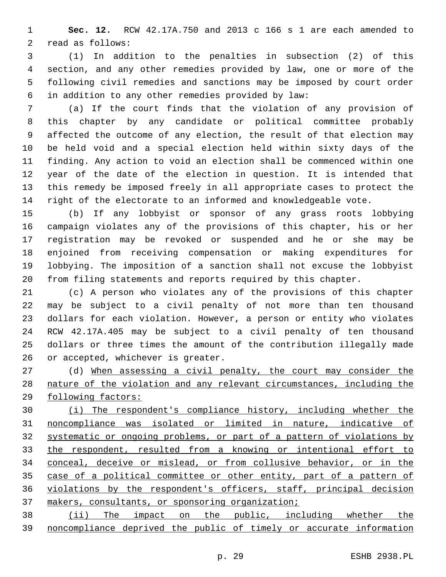**Sec. 12.** RCW 42.17A.750 and 2013 c 166 s 1 are each amended to 2 read as follows:

 (1) In addition to the penalties in subsection (2) of this section, and any other remedies provided by law, one or more of the following civil remedies and sanctions may be imposed by court order in addition to any other remedies provided by law:6

 (a) If the court finds that the violation of any provision of this chapter by any candidate or political committee probably affected the outcome of any election, the result of that election may be held void and a special election held within sixty days of the finding. Any action to void an election shall be commenced within one year of the date of the election in question. It is intended that this remedy be imposed freely in all appropriate cases to protect the right of the electorate to an informed and knowledgeable vote.

 (b) If any lobbyist or sponsor of any grass roots lobbying campaign violates any of the provisions of this chapter, his or her registration may be revoked or suspended and he or she may be enjoined from receiving compensation or making expenditures for lobbying. The imposition of a sanction shall not excuse the lobbyist from filing statements and reports required by this chapter.

 (c) A person who violates any of the provisions of this chapter may be subject to a civil penalty of not more than ten thousand dollars for each violation. However, a person or entity who violates RCW 42.17A.405 may be subject to a civil penalty of ten thousand dollars or three times the amount of the contribution illegally made 26 or accepted, whichever is greater.

 (d) When assessing a civil penalty, the court may consider the nature of the violation and any relevant circumstances, including the following factors:

 (i) The respondent's compliance history, including whether the noncompliance was isolated or limited in nature, indicative of systematic or ongoing problems, or part of a pattern of violations by the respondent, resulted from a knowing or intentional effort to conceal, deceive or mislead, or from collusive behavior, or in the case of a political committee or other entity, part of a pattern of violations by the respondent's officers, staff, principal decision makers, consultants, or sponsoring organization;

 (ii) The impact on the public, including whether the noncompliance deprived the public of timely or accurate information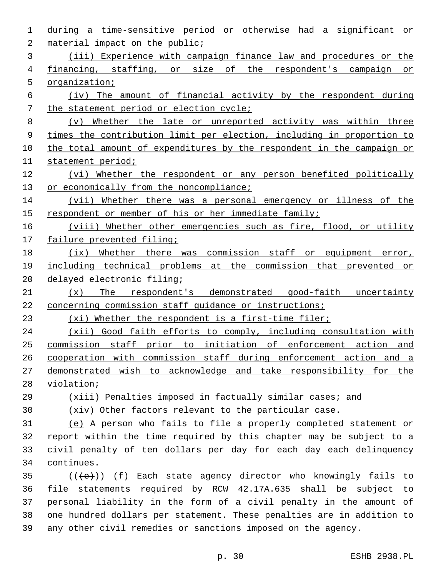| 1  | during a time-sensitive period or otherwise had a significant or               |
|----|--------------------------------------------------------------------------------|
| 2  | material impact on the public;                                                 |
| 3  | (iii) Experience with campaign finance law and procedures or the               |
| 4  | financing, staffing, or size of the respondent's campaign or                   |
| 5  | organization;                                                                  |
| 6  | (iv) The amount of financial activity by the respondent during                 |
| 7  | the statement period or election cycle;                                        |
| 8  | Whether the late or unreported activity was within three<br>$(\nabla)$         |
| 9  | times the contribution limit per election, including in proportion to          |
| 10 | the total amount of expenditures by the respondent in the campaign or          |
| 11 | statement period;                                                              |
| 12 | (vi) Whether the respondent or any person benefited politically                |
| 13 | or economically from the noncompliance;                                        |
| 14 | (vii) Whether there was a personal emergency or illness of the                 |
| 15 | respondent or member of his or her immediate family;                           |
| 16 | (viii) Whether other emergencies such as fire, flood, or utility               |
| 17 | failure prevented filing;                                                      |
| 18 | Whether there was commission staff or equipment error,<br>(ix)                 |
| 19 | including technical problems at the commission that prevented or               |
| 20 | delayed electronic filing;                                                     |
| 21 | The respondent's demonstrated good-faith uncertainty<br>(x)                    |
| 22 | concerning commission staff guidance or instructions;                          |
| 23 | (xi) Whether the respondent is a first-time filer;                             |
| 24 | (xii) Good faith efforts to comply, including consultation with                |
| 25 | commission staff prior to initiation of enforcement action<br>and              |
| 26 | cooperation with commission staff during enforcement action and a              |
| 27 | demonstrated wish to acknowledge and take responsibility for the               |
| 28 | violation;                                                                     |
| 29 | (xiii) Penalties imposed in factually similar cases; and                       |
| 30 | (xiv) Other factors relevant to the particular case.                           |
| 31 | (e) A person who fails to file a properly completed statement or               |
| 32 | report within the time required by this chapter may be subject to a            |
| 33 | civil penalty of ten dollars per day for each day each delinguency             |
| 34 | continues.                                                                     |
| 35 | $((\langle e \rangle) )$ (f) Each state agency director who knowingly fails to |
| 36 | file statements required by RCW 42.17A.635 shall be subject to                 |
| 37 | personal liability in the form of a civil penalty in the amount of             |
| 38 | one hundred dollars per statement. These penalties are in addition to          |
| 39 | any other civil remedies or sanctions imposed on the agency.                   |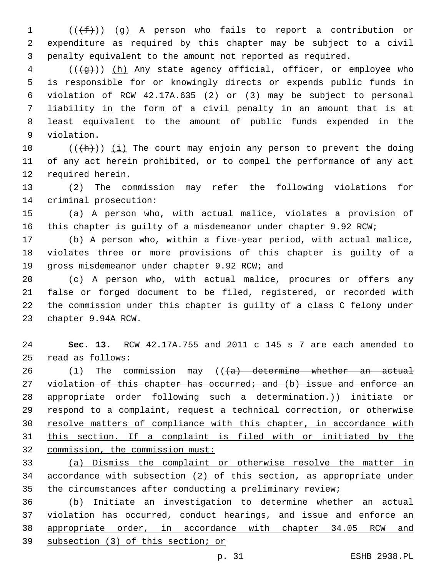(( $(f\text{f})$ ) (q) A person who fails to report a contribution or expenditure as required by this chapter may be subject to a civil penalty equivalent to the amount not reported as required.

4 (((+g))) (h) Any state agency official, officer, or employee who is responsible for or knowingly directs or expends public funds in violation of RCW 42.17A.635 (2) or (3) may be subject to personal liability in the form of a civil penalty in an amount that is at least equivalent to the amount of public funds expended in the 9 violation.

 $((+h))$   $(i)$  The court may enjoin any person to prevent the doing of any act herein prohibited, or to compel the performance of any act 12 required herein.

 (2) The commission may refer the following violations for 14 criminal prosecution:

 (a) A person who, with actual malice, violates a provision of this chapter is guilty of a misdemeanor under chapter 9.92 RCW;

 (b) A person who, within a five-year period, with actual malice, violates three or more provisions of this chapter is guilty of a 19 qross misdemeanor under chapter 9.92 RCW; and

 (c) A person who, with actual malice, procures or offers any false or forged document to be filed, registered, or recorded with the commission under this chapter is guilty of a class C felony under 23 chapter 9.94A RCW.

 **Sec. 13.** RCW 42.17A.755 and 2011 c 145 s 7 are each amended to read as follows:25

 $(1)$  The commission may  $((+a)$  determine whether an actual 27 violation of this chapter has occurred; and (b) issue and enforce an appropriate order following such a determination.)) initiate or respond to a complaint, request a technical correction, or otherwise resolve matters of compliance with this chapter, in accordance with this section. If a complaint is filed with or initiated by the commission, the commission must:

 (a) Dismiss the complaint or otherwise resolve the matter in accordance with subsection (2) of this section, as appropriate under 35 the circumstances after conducting a preliminary review;

 (b) Initiate an investigation to determine whether an actual violation has occurred, conduct hearings, and issue and enforce an appropriate order, in accordance with chapter 34.05 RCW and subsection (3) of this section; or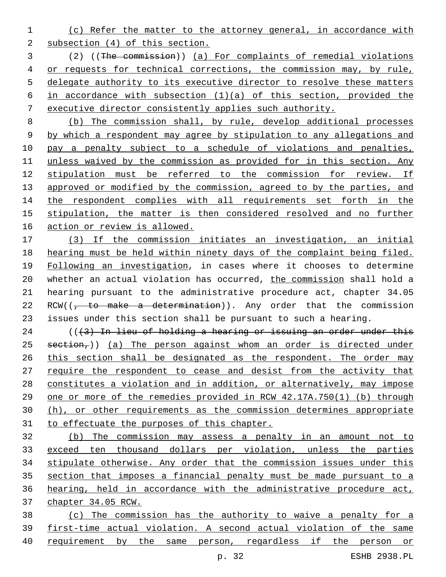- (c) Refer the matter to the attorney general, in accordance with subsection (4) of this section.
- (2) ((The commission)) (a) For complaints of remedial violations 4 or requests for technical corrections, the commission may, by rule, delegate authority to its executive director to resolve these matters 6 in accordance with subsection  $(1)(a)$  of this section, provided the executive director consistently applies such authority.

 (b) The commission shall, by rule, develop additional processes by which a respondent may agree by stipulation to any allegations and 10 pay a penalty subject to a schedule of violations and penalties, unless waived by the commission as provided for in this section. Any stipulation must be referred to the commission for review. If 13 approved or modified by the commission, agreed to by the parties, and 14 the respondent complies with all requirements set forth in the stipulation, the matter is then considered resolved and no further action or review is allowed.

 (3) If the commission initiates an investigation, an initial hearing must be held within ninety days of the complaint being filed. Following an investigation, in cases where it chooses to determine 20 whether an actual violation has occurred, the commission shall hold a hearing pursuant to the administrative procedure act, chapter 34.05 22 RCW( $\left(-\right)$  to make a determination)). Any order that the commission issues under this section shall be pursuant to such a hearing.

 $((3)$  In lieu of holding a hearing or issuing an order under this section,)) (a) The person against whom an order is directed under 26 this section shall be designated as the respondent. The order may require the respondent to cease and desist from the activity that constitutes a violation and in addition, or alternatively, may impose one or more of the remedies provided in RCW 42.17A.750(1) (b) through (h), or other requirements as the commission determines appropriate to effectuate the purposes of this chapter.

 (b) The commission may assess a penalty in an amount not to exceed ten thousand dollars per violation, unless the parties stipulate otherwise. Any order that the commission issues under this section that imposes a financial penalty must be made pursuant to a hearing, held in accordance with the administrative procedure act, chapter 34.05 RCW.

 (c) The commission has the authority to waive a penalty for a first-time actual violation. A second actual violation of the same requirement by the same person, regardless if the person or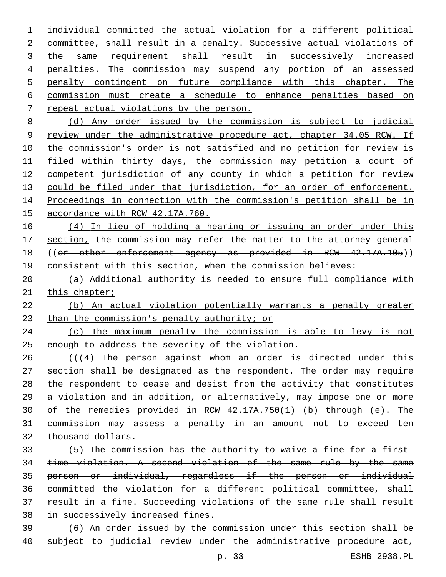individual committed the actual violation for a different political committee, shall result in a penalty. Successive actual violations of 3 the same requirement shall result in successively increased penalties. The commission may suspend any portion of an assessed penalty contingent on future compliance with this chapter. The commission must create a schedule to enhance penalties based on 7 repeat actual violations by the person. (d) Any order issued by the commission is subject to judicial 9 review under the administrative procedure act, chapter 34.05 RCW. If

 the commission's order is not satisfied and no petition for review is filed within thirty days, the commission may petition a court of competent jurisdiction of any county in which a petition for review 13 could be filed under that jurisdiction, for an order of enforcement. Proceedings in connection with the commission's petition shall be in accordance with RCW 42.17A.760.

 (4) In lieu of holding a hearing or issuing an order under this 17 section, the commission may refer the matter to the attorney general 18 ((or other enforcement agency as provided in RCW 42.17A.105)) consistent with this section, when the commission believes:

 (a) Additional authority is needed to ensure full compliance with 21 this chapter;

 (b) An actual violation potentially warrants a penalty greater 23 than the commission's penalty authority; or

 (c) The maximum penalty the commission is able to levy is not 25 enough to address the severity of the violation.

 (((4) The person against whom an order is directed under this 27 section shall be designated as the respondent. The order may require 28 the respondent to cease and desist from the activity that constitutes a violation and in addition, or alternatively, may impose one or more of the remedies provided in RCW 42.17A.750(1) (b) through (e). The commission may assess a penalty in an amount not to exceed ten 32 thousand dollars.

 (5) The commission has the authority to waive a fine for a first- time violation. A second violation of the same rule by the same person or individual, regardless if the person or individual committed the violation for a different political committee, shall result in a fine. Succeeding violations of the same rule shall result 38 in successively increased fines.

 (6) An order issued by the commission under this section shall be 40 subject to judicial review under the administrative procedure act,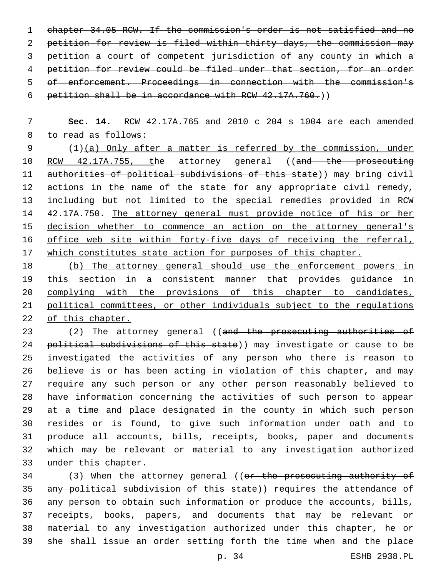chapter 34.05 RCW. If the commission's order is not satisfied and no petition for review is filed within thirty days, the commission may petition a court of competent jurisdiction of any county in which a petition for review could be filed under that section, for an order of enforcement. Proceedings in connection with the commission's 6 petition shall be in accordance with RCW  $42.17A.760.$ )

 **Sec. 14.** RCW 42.17A.765 and 2010 c 204 s 1004 are each amended 8 to read as follows:

 (1)(a) Only after a matter is referred by the commission, under 10 RCW 42.17A.755, the attorney general ((and the prosecuting 11 authorities of political subdivisions of this state)) may bring civil actions in the name of the state for any appropriate civil remedy, including but not limited to the special remedies provided in RCW 42.17A.750. The attorney general must provide notice of his or her 15 decision whether to commence an action on the attorney general's office web site within forty-five days of receiving the referral, which constitutes state action for purposes of this chapter.

 (b) The attorney general should use the enforcement powers in this section in a consistent manner that provides guidance in complying with the provisions of this chapter to candidates, political committees, or other individuals subject to the regulations of this chapter.

23 (2) The attorney general ((and the prosecuting authorities of 24 political subdivisions of this state)) may investigate or cause to be investigated the activities of any person who there is reason to believe is or has been acting in violation of this chapter, and may require any such person or any other person reasonably believed to have information concerning the activities of such person to appear at a time and place designated in the county in which such person resides or is found, to give such information under oath and to produce all accounts, bills, receipts, books, paper and documents which may be relevant or material to any investigation authorized 33 under this chapter.

34 (3) When the attorney general ((or the prosecuting authority of 35 any political subdivision of this state)) requires the attendance of any person to obtain such information or produce the accounts, bills, receipts, books, papers, and documents that may be relevant or material to any investigation authorized under this chapter, he or she shall issue an order setting forth the time when and the place

p. 34 ESHB 2938.PL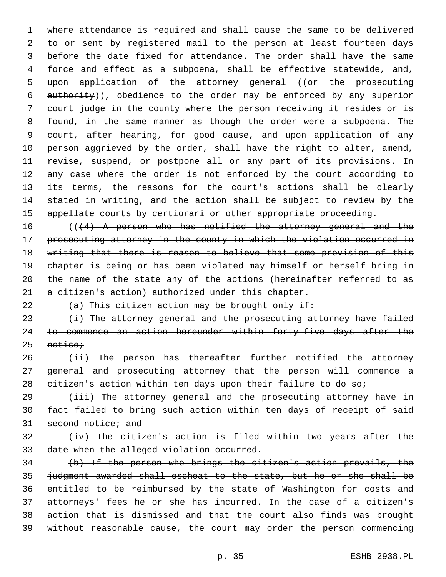where attendance is required and shall cause the same to be delivered to or sent by registered mail to the person at least fourteen days before the date fixed for attendance. The order shall have the same force and effect as a subpoena, shall be effective statewide, and, 5 upon application of the attorney general ((or the prosecuting authority)), obedience to the order may be enforced by any superior court judge in the county where the person receiving it resides or is found, in the same manner as though the order were a subpoena. The court, after hearing, for good cause, and upon application of any person aggrieved by the order, shall have the right to alter, amend, revise, suspend, or postpone all or any part of its provisions. In any case where the order is not enforced by the court according to its terms, the reasons for the court's actions shall be clearly stated in writing, and the action shall be subject to review by the appellate courts by certiorari or other appropriate proceeding.

16 (((4) A person who has notified the attorney general and the prosecuting attorney in the county in which the violation occurred in writing that there is reason to believe that some provision of this chapter is being or has been violated may himself or herself bring in the name of the state any of the actions (hereinafter referred to as 21 a citizen's action) authorized under this chapter.

22  $(a)$  This citizen action may be brought only if:

  $(i)$  The attorney general and the prosecuting attorney have failed to commence an action hereunder within forty-five days after the 25 notice;

 (ii) The person has thereafter further notified the attorney general and prosecuting attorney that the person will commence a 28 citizen's action within ten days upon their failure to do so;

29 (iii) The attorney general and the prosecuting attorney have in fact failed to bring such action within ten days of receipt of said 31 second notice; and

# $(+iv)$  The citizen's action is filed within two years after the date when the alleged violation occurred.

 (b) If the person who brings the citizen's action prevails, the judgment awarded shall escheat to the state, but he or she shall be entitled to be reimbursed by the state of Washington for costs and attorneys' fees he or she has incurred. In the case of a citizen's action that is dismissed and that the court also finds was brought without reasonable cause, the court may order the person commencing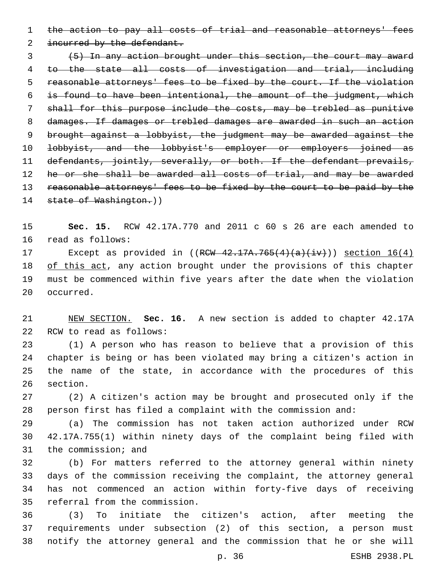the action to pay all costs of trial and reasonable attorneys' fees

2 incurred by the defendant.

 (5) In any action brought under this section, the court may award to the state all costs of investigation and trial, including reasonable attorneys' fees to be fixed by the court. If the violation is found to have been intentional, the amount of the judgment, which shall for this purpose include the costs, may be trebled as punitive damages. If damages or trebled damages are awarded in such an action brought against a lobbyist, the judgment may be awarded against the 10 lobbyist, and the lobbyist's employer or employers joined as defendants, jointly, severally, or both. If the defendant prevails, 12 he or she shall be awarded all costs of trial, and may be awarded 13 reasonable attorneys' fees to be fixed by the court to be paid by the 14 state of Washington.))

 **Sec. 15.** RCW 42.17A.770 and 2011 c 60 s 26 are each amended to 16 read as follows:

17 Except as provided in  $((RCW - 42.17A.765(4)(a)(iv)))$  section  $16(4)$ 18 of this act, any action brought under the provisions of this chapter must be commenced within five years after the date when the violation 20 occurred.

 NEW SECTION. **Sec. 16.** A new section is added to chapter 42.17A 22 RCW to read as follows:

 (1) A person who has reason to believe that a provision of this chapter is being or has been violated may bring a citizen's action in the name of the state, in accordance with the procedures of this 26 section.

 (2) A citizen's action may be brought and prosecuted only if the person first has filed a complaint with the commission and:

 (a) The commission has not taken action authorized under RCW 42.17A.755(1) within ninety days of the complaint being filed with 31 the commission; and

 (b) For matters referred to the attorney general within ninety days of the commission receiving the complaint, the attorney general has not commenced an action within forty-five days of receiving 35 referral from the commission.

 (3) To initiate the citizen's action, after meeting the requirements under subsection (2) of this section, a person must notify the attorney general and the commission that he or she will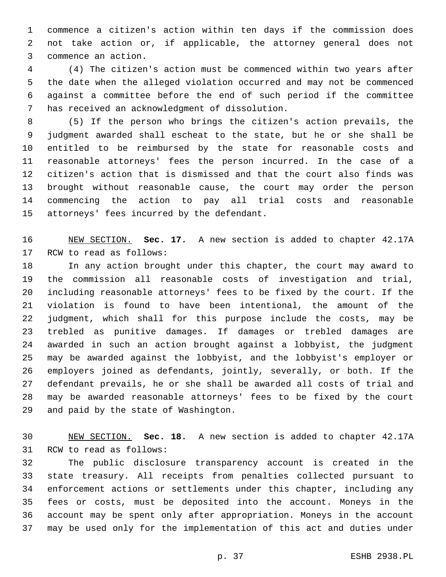commence a citizen's action within ten days if the commission does not take action or, if applicable, the attorney general does not 3 commence an action.

 (4) The citizen's action must be commenced within two years after the date when the alleged violation occurred and may not be commenced against a committee before the end of such period if the committee 7 has received an acknowledgment of dissolution.

 (5) If the person who brings the citizen's action prevails, the judgment awarded shall escheat to the state, but he or she shall be entitled to be reimbursed by the state for reasonable costs and reasonable attorneys' fees the person incurred. In the case of a citizen's action that is dismissed and that the court also finds was brought without reasonable cause, the court may order the person commencing the action to pay all trial costs and reasonable 15 attorneys' fees incurred by the defendant.

 NEW SECTION. **Sec. 17.** A new section is added to chapter 42.17A 17 RCW to read as follows:

 In any action brought under this chapter, the court may award to the commission all reasonable costs of investigation and trial, including reasonable attorneys' fees to be fixed by the court. If the violation is found to have been intentional, the amount of the judgment, which shall for this purpose include the costs, may be trebled as punitive damages. If damages or trebled damages are awarded in such an action brought against a lobbyist, the judgment may be awarded against the lobbyist, and the lobbyist's employer or employers joined as defendants, jointly, severally, or both. If the defendant prevails, he or she shall be awarded all costs of trial and may be awarded reasonable attorneys' fees to be fixed by the court 29 and paid by the state of Washington.

 NEW SECTION. **Sec. 18.** A new section is added to chapter 42.17A 31 RCW to read as follows:

 The public disclosure transparency account is created in the state treasury. All receipts from penalties collected pursuant to enforcement actions or settlements under this chapter, including any fees or costs, must be deposited into the account. Moneys in the account may be spent only after appropriation. Moneys in the account may be used only for the implementation of this act and duties under